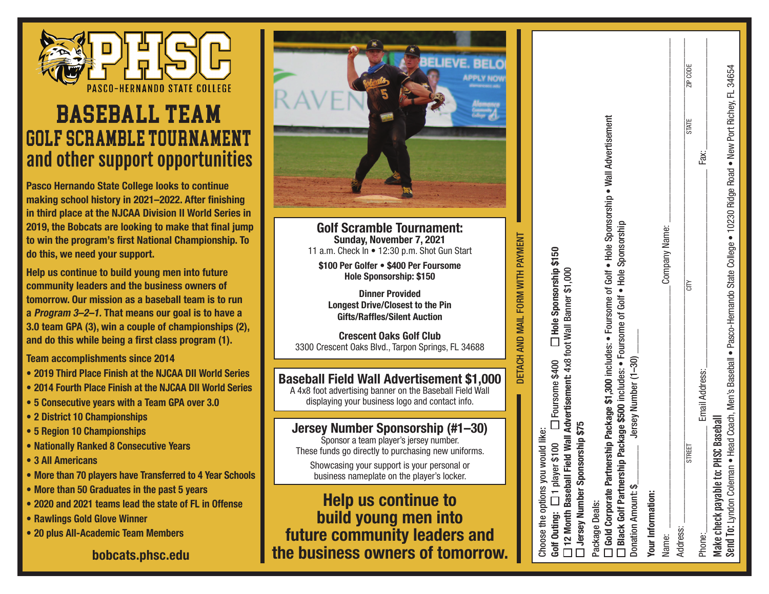

### Baseball Team Golf scramble Tournament and other support opportunities

**Pasco Hernando State College looks to continue making school history in 2021–2022. After finishing in third place at the NJCAA Division II World Series in 2019, the Bobcats are looking to make that final jump to win the program's first National Championship. To do this, we need your support.** 

**Help us continue to build young men into future community leaders and the business owners of tomorrow. Our mission as a baseball team is to run a Program 3–2–1. That means our goal is to have a 3.0 team GPA (3), win a couple of championships (2), and do this while being a first class program (1).**

**Team accomplishments since 2014**

- **• 2019 Third Place Finish at the NJCAA DII World Series**
- **• 2014 Fourth Place Finish at the NJCAA DII World Series**
- **• 5 Consecutive years with a Team GPA over 3.0**
- **• 2 District 10 Championships**
- **• 5 Region 10 Championships**
- **• Nationally Ranked 8 Consecutive Years**
- **• 3 All Americans**
- **• More than 70 players have Transferred to 4 Year Schools**
- **• More than 50 Graduates in the past 5 years**
- **• 2020 and 2021 teams lead the state of FL in Offense**
- **• Rawlings Gold Glove Winner**
- **• 20 plus All-Academic Team Members**

**bobcats.phsc.edu**



**Golf Scramble Tournament: Sunday, November 7, 2021** 11 a.m. Check In • 12:30 p.m. Shot Gun Start

**\$100 Per Golfer • \$400 Per Foursome Hole Sponsorship: \$150**

**Dinner Provided Longest Drive/Closest to the Pin Gifts/Raffles/Silent Auction**

**Crescent Oaks Golf Club**  3300 Crescent Oaks Blvd., Tarpon Springs, FL 34688

#### **Baseball Field Wall Advertisement \$1,000**

A 4x8 foot advertising banner on the Baseball Field Wall displaying your business logo and contact info.

#### **Jersey Number Sponsorship (#1–30)**

Sponsor a team player's jersey number. These funds go directly to purchasing new uniforms.

Showcasing your support is your personal or business nameplate on the player's locker.

**Help us continue to build young men into future community leaders and the business owners of tomorrow.**

# DETACH AND MAIL FORM WITH PAYMENT DETACH AND MAIL FORM WITH PAYMENT

Choose the options you would like: Choose the options you would like:

T Hole Sponsorship \$150 **Golf Outing:** 1 player \$100 Foursome \$400 **Hole Sponsorship \$150** D Foursome \$400  $\Box$  1 player \$100 Golf Outing:

12 Month Baseball Field Wall Advertisement: 4x8 foot Wall Banner \$1,000 **12 Month Baseball Field Wall Advertisement:** 4x8 foot Wall Banner \$1,000

Jersey Number Sponsorship \$75 **Jersey Number Sponsorship \$75**

Package Deals: Package Deals:

Gold Corporate Partnership Package \$1,300 includes: . Foursome of Golf . Hole Sponsorship . Wall Advertisement **Gold Corporate Partnership Package \$1,300** includes: • Foursome of Golf • Hole Sponsorship • Wall Advertisement

Black Golf Partnership Package \$500 includes: . Foursome of Golf . Hole Sponsorship **Black Golf Partnership Package \$500** includes: • Foursome of Golf • Hole Sponsorship

Donation Amount: \$\_\_\_\_\_\_\_\_ Jersey Number (1–30) \_\_\_\_\_ Jersey Number (1-30) Donation Amount: \$

**Tour Information: Your Information:**

Name:

Address:

\_\_\_\_\_\_\_\_\_\_\_\_\_\_\_\_\_\_\_\_\_\_\_\_\_\_\_\_\_\_\_\_\_\_\_\_\_\_\_\_\_\_\_\_\_\_\_\_\_\_Company Name: \_\_\_\_\_\_\_\_\_\_\_\_\_\_\_\_\_\_\_\_\_\_\_\_\_\_\_\_\_\_\_\_\_\_\_\_\_\_  $\mathcal{L}_\text{max} = \frac{1}{2} \sum_{i=1}^n \mathbf{1}_{\mathcal{L}_i} \mathbf{1}_{\mathcal{L}_i} \mathbf{1}_{\mathcal{L}_i} \mathbf{1}_{\mathcal{L}_i} \mathbf{1}_{\mathcal{L}_i} \mathbf{1}_{\mathcal{L}_i} \mathbf{1}_{\mathcal{L}_i} \mathbf{1}_{\mathcal{L}_i} \mathbf{1}_{\mathcal{L}_i} \mathbf{1}_{\mathcal{L}_i} \mathbf{1}_{\mathcal{L}_i} \mathbf{1}_{\mathcal{L}_i} \mathbf{1}_{\mathcal{L}_i} \mathbf{1}_{\mathcal{$ Company Name: 흒 STREET

STREET ZIP CODE

\_\_\_\_\_\_\_\_\_\_\_\_\_\_\_\_\_\_\_\_\_\_\_\_\_\_\_\_\_\_\_\_\_\_\_\_\_\_\_\_\_

Fax:

\_\_\_\_\_\_\_\_\_\_\_\_\_\_\_\_\_\_\_\_\_\_\_

34654

**SODE** 

le,

**STATE** 

Email Address: Email Address: \_\_\_\_\_\_\_\_\_\_\_\_\_\_\_\_\_\_\_\_\_\_ Phone:

Make check payable to: PHSC Baseball Make check payable to: PHSC Baseball

Send To: Lyndon Coleman • Head Coach, Men's Baseball • Pasco-Hernando State College • 10230 Ridge Road • New Port Richey, FL 34654 Men's Baseball . Pasco-Hernando State College . 10230 Ridge Road . New Port Richey, FL Send To: Lyndon Coleman . Head Coach,